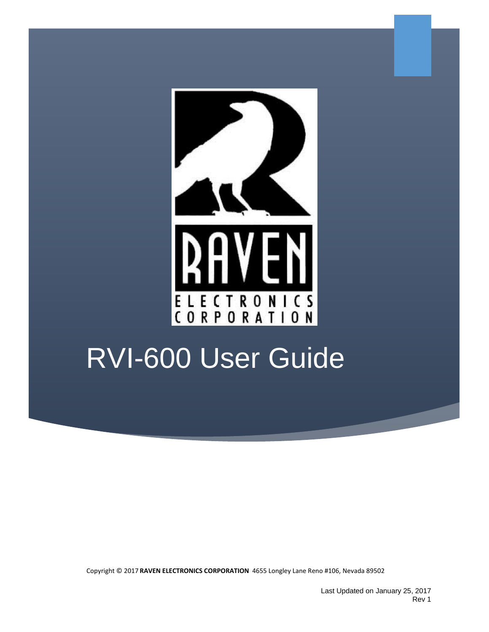

# RVI-600 User Guide

Copyright © 2017 **RAVEN ELECTRONICS CORPORATION** 4655 Longley Lane Reno #106, Nevada 89502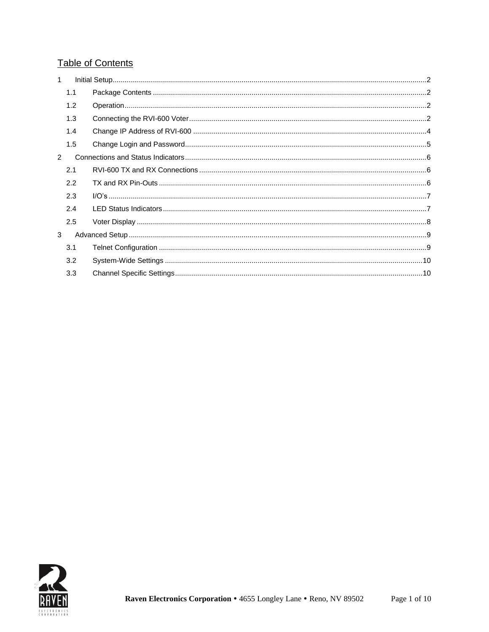### **Table of Contents**

| $\mathbf{1}$  |     |  |
|---------------|-----|--|
|               | 1.1 |  |
|               | 1.2 |  |
|               | 1.3 |  |
|               | 1.4 |  |
|               | 1.5 |  |
| $\mathcal{P}$ |     |  |
|               | 2.1 |  |
|               | 2.2 |  |
|               | 2.3 |  |
|               | 2.4 |  |
|               | 2.5 |  |
| 3             |     |  |
|               | 3.1 |  |
|               | 3.2 |  |
|               | 3.3 |  |

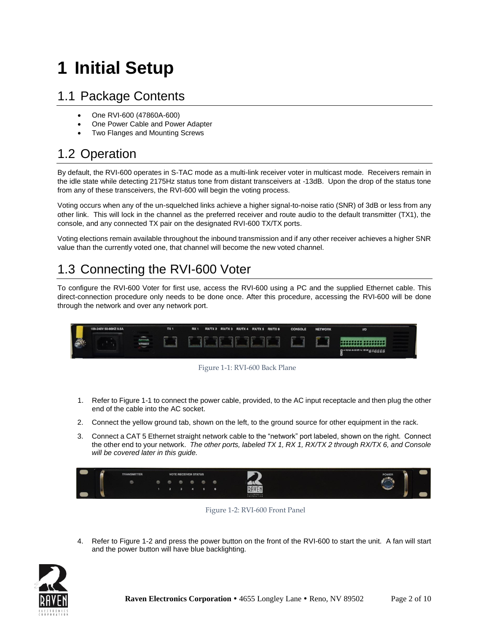## <span id="page-2-0"></span>**1 Initial Setup**

### <span id="page-2-1"></span>1.1 Package Contents

- One RVI-600 (47860A-600)
- One Power Cable and Power Adapter
- Two Flanges and Mounting Screws

### <span id="page-2-2"></span>1.2 Operation

By default, the RVI-600 operates in S-TAC mode as a multi-link receiver voter in multicast mode. Receivers remain in the idle state while detecting 2175Hz status tone from distant transceivers at -13dB. Upon the drop of the status tone from any of these transceivers, the RVI-600 will begin the voting process.

Voting occurs when any of the un-squelched links achieve a higher signal-to-noise ratio (SNR) of 3dB or less from any other link. This will lock in the channel as the preferred receiver and route audio to the default transmitter (TX1), the console, and any connected TX pair on the designated RVI-600 TX/TX ports.

Voting elections remain available throughout the inbound transmission and if any other receiver achieves a higher SNR value than the currently voted one, that channel will become the new voted channel.

### <span id="page-2-3"></span>1.3 Connecting the RVI-600 Voter

To configure the RVI-600 Voter for first use, access the RVI-600 using a PC and the supplied Ethernet cable. This direct-connection procedure only needs to be done once. After this procedure, accessing the RVI-600 will be done through the network and over any network port.





- <span id="page-2-4"></span>1. Refer t[o Figure 1-1](#page-2-4) to connect the power cable, provided, to the AC input receptacle and then plug the other end of the cable into the AC socket.
- 2. Connect the yellow ground tab, shown on the left, to the ground source for other equipment in the rack.
- 3. Connect a CAT 5 Ethernet straight network cable to the "network" port labeled, shown on the right. Connect the other end to your network. *The other ports, labeled TX 1, RX 1, RX/TX 2 through RX/TX 6, and Console will be covered later in this guide.*



Figure 1-2: RVI-600 Front Panel

4. Refer to Figure 1-2 and press the power button on the front of the RVI-600 to start the unit. A fan will start and the power button will have blue backlighting.

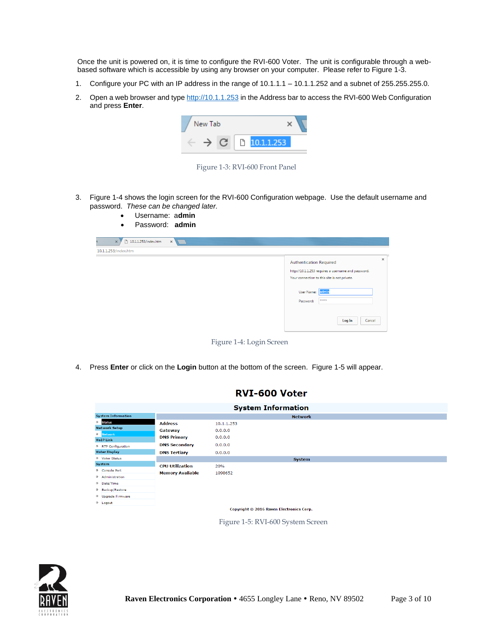Once the unit is powered on, it is time to configure the RVI-600 Voter. The unit is configurable through a webbased software which is accessible by using any browser on your computer. Please refer to Figure 1-3.

- 1. Configure your PC with an IP address in the range of 10.1.1.1 10.1.1.252 and a subnet of 255.255.255.0.
- 2. Open a web browser and typ[e http://10.1.1.253](http://10.1.1.253/) in the Address bar to access the RVI-600 Web Configuration and press **Enter**.



Figure 1-3: RVI-600 Front Panel

3. Figure 1-4 shows the login screen for the RVI-600 Configuration webpage. Use the default username and password. *These can be changed later.*

| Username: admin<br>$\bullet$<br>Password: admin<br>$\bullet$ |                                                                                                                                                   |
|--------------------------------------------------------------|---------------------------------------------------------------------------------------------------------------------------------------------------|
| 10.1.1.253/index.htm<br>$\times$<br>$\times$                 |                                                                                                                                                   |
| 10.1.1.253/index.htm                                         |                                                                                                                                                   |
|                                                              | $\times$<br><b>Authentication Required</b><br>http://10.1.1.253 requires a username and password.<br>Your connection to this site is not private. |
|                                                              | User Name: admin<br><b>WREEK</b><br>Password:                                                                                                     |
|                                                              | Log In<br>Cancel                                                                                                                                  |

Figure 1-4: Login Screen

4. Press **Enter** or click on the **Login** button at the bottom of the screen. Figure 1-5 will appear.

| <b>System Information</b>                |                         |               |  |  |  |  |
|------------------------------------------|-------------------------|---------------|--|--|--|--|
| <b>System Information</b>                | <b>Network</b>          |               |  |  |  |  |
| <b>O</b> Status                          | <b>Address</b>          | 10.1.1.253    |  |  |  |  |
| <b>Network Setup</b>                     | Gateway                 | 0.0.0.0       |  |  |  |  |
| O Network<br><b>VoIP Link</b>            | <b>DNS Primary</b>      | 0.0.0.0       |  |  |  |  |
| O RTP Configuration                      | <b>DNS Secondary</b>    | 0.0.0.0       |  |  |  |  |
| <b>Voter Display</b>                     | <b>DNS Tertiary</b>     | 0.0.0.0       |  |  |  |  |
| O Voter Status                           |                         | <b>System</b> |  |  |  |  |
| System                                   | <b>CPU Utilization</b>  | 20%           |  |  |  |  |
| O Console Port                           | <b>Memory Available</b> | 1098652       |  |  |  |  |
| O Administration                         |                         |               |  |  |  |  |
| O Date/Time                              |                         |               |  |  |  |  |
| O Backup/Restore                         |                         |               |  |  |  |  |
| <sup>O</sup> Upgrade Firmware            |                         |               |  |  |  |  |
| <sup>O</sup> Logout                      |                         |               |  |  |  |  |
| Copyright © 2016 Raven Electronics Corp. |                         |               |  |  |  |  |

RVI-600 Voter

Figure 1-5: RVI-600 System Screen

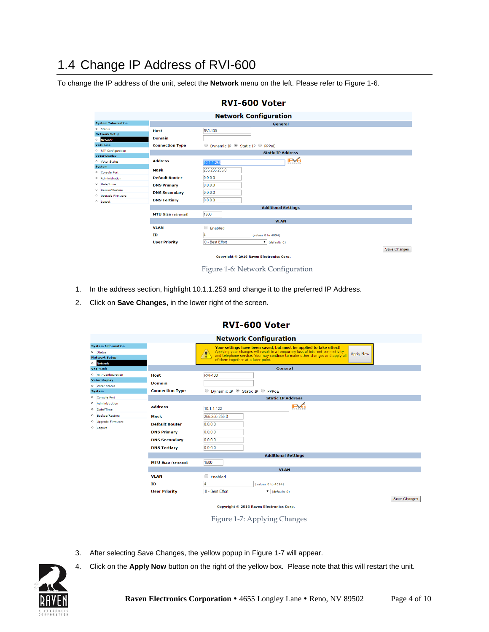### <span id="page-4-0"></span>1.4 Change IP Address of RVI-600

To change the IP address of the unit, select the **Network** menu on the left. Please refer to Figure 1-6.

|                                             |                            | <b>Network Configuration</b>                    |
|---------------------------------------------|----------------------------|-------------------------------------------------|
| <b>System Information</b>                   |                            | General                                         |
| O Status                                    | <b>Host</b>                | RVI-100                                         |
| <b>Network Setup</b>                        | <b>Domain</b>              |                                                 |
| · Network<br><b>VoIP Link</b>               |                            |                                                 |
|                                             | <b>Connection Type</b>     | O Dynamic IP Static IP O PPPoE                  |
| O RTP Configuration<br><b>Voter Display</b> |                            | <b>Static IP Address</b>                        |
| <sup>O</sup> Voter Status                   | <b>Address</b>             | <b>IFYQ</b><br>10.1.1.253                       |
| System                                      |                            |                                                 |
| O Console Port                              | Mask                       | 255.255.255.0                                   |
| O Administration                            | <b>Default Router</b>      | 0.0.0.0                                         |
| 0 Date/Time                                 | <b>DNS Primary</b>         | 0.0.0.0                                         |
| O Backup/Restore                            | <b>DNS Secondary</b>       | 0.0.0.0                                         |
| <sup>O</sup> Upgrade Firmware               |                            |                                                 |
| <sup>O</sup> Logout                         | <b>DNS Tertiary</b>        | 0.0.0.0                                         |
|                                             |                            | <b>Additional Settings</b>                      |
|                                             | <b>MTU Size</b> (advanced) | 1500                                            |
|                                             |                            | <b>VLAN</b>                                     |
|                                             | <b>VLAN</b>                | □<br>Enabled                                    |
|                                             | ID                         | Δ<br>(value: 0 to 4094)                         |
|                                             | <b>User Priority</b>       | 0 - Best Effort<br>$\triangledown$ (default: 0) |
|                                             |                            | Save Changes                                    |
|                                             |                            | Copyright © 2016 Raven Electronics Corp.        |

#### RVI-600 Voter

Figure 1-6: Network Configuration

- 1. In the address section, highlight 10.1.1.253 and change it to the preferred IP Address.
- 2. Click on **Save Changes**, in the lower right of the screen.

#### RVI-600 Voter

| <b>Network Configuration</b>                                                        |                            |                                                                                                                                                                                                                                                                                        |  |  |  |
|-------------------------------------------------------------------------------------|----------------------------|----------------------------------------------------------------------------------------------------------------------------------------------------------------------------------------------------------------------------------------------------------------------------------------|--|--|--|
| <b>System Information</b><br><sup>0</sup> Status<br>Network Setup<br><b>Network</b> |                            | Your settings have been saved, but must be applied to take effect!<br>Applying your changes will result in a temporary loss of internet connectivity<br>Apply Now<br>and telephone service. You may continue to make other changes and apply all<br>of them together at a later point. |  |  |  |
| VoIP Link                                                                           |                            | General                                                                                                                                                                                                                                                                                |  |  |  |
| RTP Configuration                                                                   | <b>Host</b>                | <b>RVI-100</b>                                                                                                                                                                                                                                                                         |  |  |  |
| <b>Voter Display</b>                                                                | <b>Domain</b>              |                                                                                                                                                                                                                                                                                        |  |  |  |
| O Voter Status<br>System                                                            | <b>Connection Type</b>     | O Dynamic IP Static IP O PPPoE                                                                                                                                                                                                                                                         |  |  |  |
| Console Port                                                                        |                            | <b>Static IP Address</b>                                                                                                                                                                                                                                                               |  |  |  |
| O Administration                                                                    |                            |                                                                                                                                                                                                                                                                                        |  |  |  |
| Date/Time                                                                           | <b>Address</b>             | IL VO<br>10.1.1.122                                                                                                                                                                                                                                                                    |  |  |  |
| Backup/Restore                                                                      | Mask                       | 255.255.255.0                                                                                                                                                                                                                                                                          |  |  |  |
| <sup>O</sup> Upgrade Firmware                                                       | <b>Default Router</b>      | 0.0.0.0                                                                                                                                                                                                                                                                                |  |  |  |
| D Logout                                                                            | <b>DNS Primary</b>         | 0.0.0.0                                                                                                                                                                                                                                                                                |  |  |  |
|                                                                                     | <b>DNS Secondary</b>       | 0.0.0.0                                                                                                                                                                                                                                                                                |  |  |  |
|                                                                                     |                            |                                                                                                                                                                                                                                                                                        |  |  |  |
|                                                                                     | <b>DNS Tertiary</b>        | 0.0.0.0                                                                                                                                                                                                                                                                                |  |  |  |
|                                                                                     |                            | <b>Additional Settings</b>                                                                                                                                                                                                                                                             |  |  |  |
|                                                                                     | <b>MTU Size (advanced)</b> | 1500                                                                                                                                                                                                                                                                                   |  |  |  |
|                                                                                     |                            | <b>VLAN</b>                                                                                                                                                                                                                                                                            |  |  |  |
|                                                                                     | <b>VLAN</b>                | Enabled                                                                                                                                                                                                                                                                                |  |  |  |
|                                                                                     | ID                         | (value: 0 to 4094)                                                                                                                                                                                                                                                                     |  |  |  |
|                                                                                     | <b>User Priority</b>       | 0 - Best Effort<br>$\mathbf{v}$ (default: 0)                                                                                                                                                                                                                                           |  |  |  |
|                                                                                     |                            | Save Changes                                                                                                                                                                                                                                                                           |  |  |  |
|                                                                                     |                            | Copyright © 2016 Raven Electronics Corp.                                                                                                                                                                                                                                               |  |  |  |

Figure 1-7: Applying Changes

- 3. After selecting Save Changes, the yellow popup in Figure 1-7 will appear.
- 4. Click on the **Apply Now** button on the right of the yellow box. Please note that this will restart the unit.

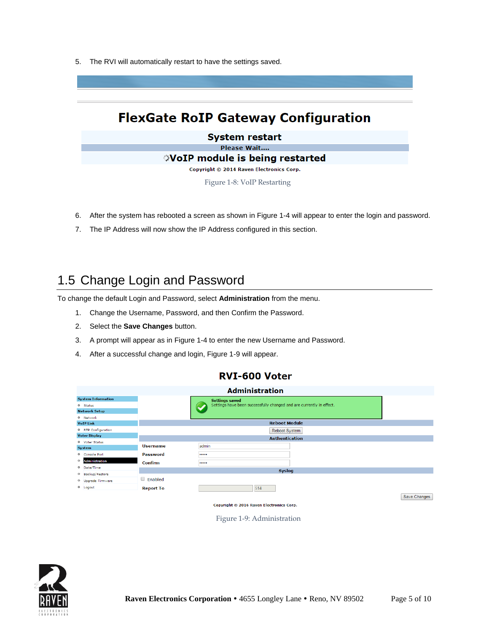5. The RVI will automatically restart to have the settings saved.

### **FlexGate RoIP Gateway Configuration**

**System restart** Please Wait.... **VoIP module is being restarted** Copyright © 2014 Raven Electronics Corp.

Figure 1-8: VoIP Restarting

- 6. After the system has rebooted a screen as shown in Figure 1-4 will appear to enter the login and password.
- 7. The IP Address will now show the IP Address configured in this section.

### <span id="page-5-0"></span>1.5 Change Login and Password

To change the default Login and Password, select **Administration** from the menu.

- 1. Change the Username, Password, and then Confirm the Password.
- 2. Select the **Save Changes** button.
- 3. A prompt will appear as in Figure 1-4 to enter the new Username and Password.
- 4. After a successful change and login, Figure 1-9 will appear.

#### RVI-600 Voter

| <b>Administration</b>         |                  |                                                                      |              |  |
|-------------------------------|------------------|----------------------------------------------------------------------|--------------|--|
| <b>System Information</b>     |                  | <b>Settings saved</b>                                                |              |  |
| <sup>O</sup> Status           |                  | Settings have been successfully changed and are currently in effect. |              |  |
| <b>Network Setup</b>          |                  |                                                                      |              |  |
| 0 Network                     |                  |                                                                      |              |  |
| <b>VoIP Link</b>              |                  | <b>Reboot Module</b>                                                 |              |  |
| O RTP Configuration           |                  | <b>Reboot System</b>                                                 |              |  |
| <b>Voter Display</b>          |                  | <b>Authentication</b>                                                |              |  |
| O Voter Status                |                  |                                                                      |              |  |
| <b>System</b>                 | <b>Username</b>  | admin                                                                |              |  |
| O Console Port                | Password         |                                                                      |              |  |
| Administration<br>$\circ$     | <b>Confirm</b>   |                                                                      |              |  |
| <sup>O</sup> Date/Time        |                  | Syslog                                                               |              |  |
| O Backup/Restore              |                  |                                                                      |              |  |
| <sup>O</sup> Upgrade Firmware | Enabled          |                                                                      |              |  |
| <sup>O</sup> Logout           | <b>Report To</b> | 514                                                                  |              |  |
|                               |                  |                                                                      | Save Changes |  |

Copyright © 2016 Rayen Electronics Corp.

Figure 1-9: Administration

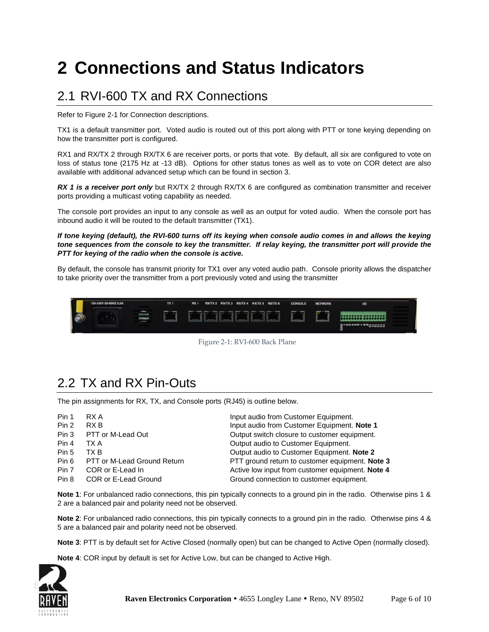## <span id="page-6-0"></span>**2 Connections and Status Indicators**

### <span id="page-6-1"></span>2.1 RVI-600 TX and RX Connections

Refer to Figure 2-1 for Connection descriptions.

TX1 is a default transmitter port. Voted audio is routed out of this port along with PTT or tone keying depending on how the transmitter port is configured.

RX1 and RX/TX 2 through RX/TX 6 are receiver ports, or ports that vote. By default, all six are configured to vote on loss of status tone (2175 Hz at -13 dB). Options for other status tones as well as to vote on COR detect are also available with additional advanced setup which can be found in section 3.

*RX 1 is a receiver port only* but RX/TX 2 through RX/TX 6 are configured as combination transmitter and receiver ports providing a multicast voting capability as needed.

The console port provides an input to any console as well as an output for voted audio. When the console port has inbound audio it will be routed to the default transmitter (TX1).

*If tone keying (default), the RVI-600 turns off its keying when console audio comes in and allows the keying tone sequences from the console to key the transmitter. If relay keying, the transmitter port will provide the PTT for keying of the radio when the console is active.* 

By default, the console has transmit priority for TX1 over any voted audio path. Console priority allows the dispatcher to take priority over the transmitter from a port previously voted and using the transmitter





### <span id="page-6-2"></span>2.2 TX and RX Pin-Outs

The pin assignments for RX, TX, and Console ports (RJ45) is outline below.

| Pin 1 | RX A                        | Input audio from Customer Equipment.             |
|-------|-----------------------------|--------------------------------------------------|
| Pin 2 | RX B                        | Input audio from Customer Equipment. Note 1      |
| Pin 3 | PTT or M-Lead Out           | Output switch closure to customer equipment.     |
| Pin 4 | TX A                        | Output audio to Customer Equipment.              |
| Pin 5 | TX B                        | Output audio to Customer Equipment. Note 2       |
| Pin 6 | PTT or M-Lead Ground Return | PTT ground return to customer equipment. Note 3  |
| Pin 7 | COR or E-Lead In            | Active low input from customer equipment. Note 4 |
| Pin 8 | COR or E-Lead Ground        | Ground connection to customer equipment.         |
|       |                             |                                                  |

**Note 1**: For unbalanced radio connections, this pin typically connects to a ground pin in the radio. Otherwise pins 1 & 2 are a balanced pair and polarity need not be observed.

**Note 2**: For unbalanced radio connections, this pin typically connects to a ground pin in the radio. Otherwise pins 4 & 5 are a balanced pair and polarity need not be observed.

**Note 3**: PTT is by default set for Active Closed (normally open) but can be changed to Active Open (normally closed).

**Note 4**: COR input by default is set for Active Low, but can be changed to Active High.

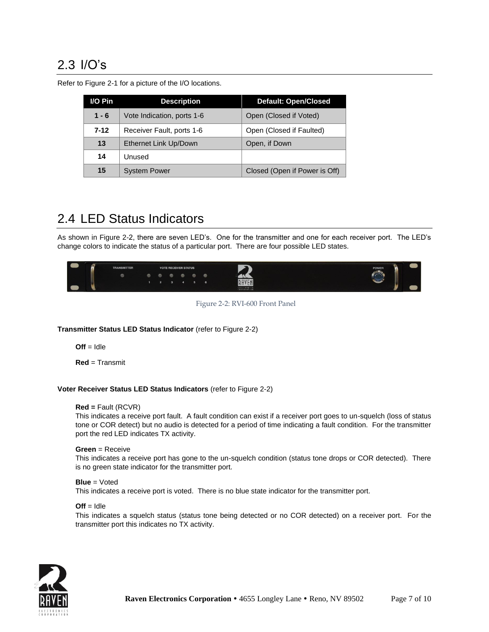### <span id="page-7-0"></span>2.3 I/O's

| I/O Pin  | <b>Description</b>         | <b>Default: Open/Closed</b>   |
|----------|----------------------------|-------------------------------|
| $1 - 6$  | Vote Indication, ports 1-6 | Open (Closed if Voted)        |
| $7 - 12$ | Receiver Fault, ports 1-6  | Open (Closed if Faulted)      |
| 13       | Ethernet Link Up/Down      | Open, if Down                 |
| 14       | Unused                     |                               |
| 15       | <b>System Power</b>        | Closed (Open if Power is Off) |

Refer to Figure 2-1 for a picture of the I/O locations.

### <span id="page-7-1"></span>2.4 LED Status Indicators

As shown in Figure 2-2, there are seven LED's. One for the transmitter and one for each receiver port. The LED's change colors to indicate the status of a particular port. There are four possible LED states.



Figure 2-2: RVI-600 Front Panel

#### **Transmitter Status LED Status Indicator** (refer to Figure 2-2)

 $Off = Idle$ 

**Red** = Transmit

#### **Voter Receiver Status LED Status Indicators** (refer to Figure 2-2)

#### **Red =** Fault (RCVR)

This indicates a receive port fault. A fault condition can exist if a receiver port goes to un-squelch (loss of status tone or COR detect) but no audio is detected for a period of time indicating a fault condition. For the transmitter port the red LED indicates TX activity.

#### **Green** = Receive

This indicates a receive port has gone to the un-squelch condition (status tone drops or COR detected). There is no green state indicator for the transmitter port.

#### **Blue** = Voted

This indicates a receive port is voted. There is no blue state indicator for the transmitter port.

#### $Off = Idle$

This indicates a squelch status (status tone being detected or no COR detected) on a receiver port. For the transmitter port this indicates no TX activity.

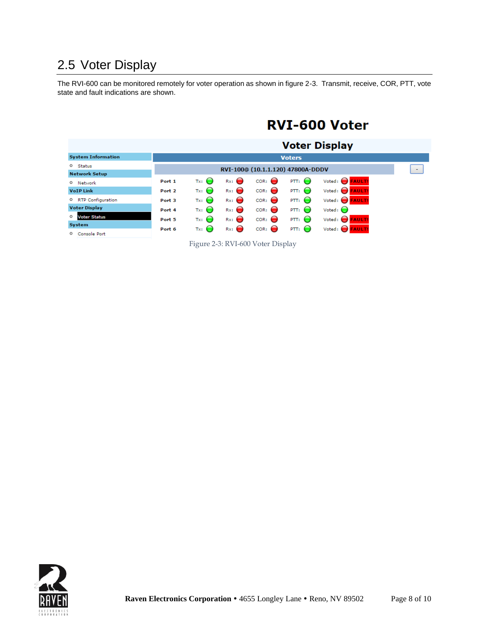### <span id="page-8-0"></span>2.5 Voter Display

The RVI-600 can be monitored remotely for voter operation as shown in figure 2-3. Transmit, receive, COR, PTT, vote state and fault indications are shown.

### RVI-600 Voter

|                                |                   |                  |                  |                                   |                   | <b>Voter Display</b>            |  |
|--------------------------------|-------------------|------------------|------------------|-----------------------------------|-------------------|---------------------------------|--|
| <b>System Information</b>      |                   |                  |                  |                                   | <b>Voters</b>     |                                 |  |
| O Status                       |                   |                  |                  | RVI-100@ (10.1.1.120) 47800A-DDDV |                   |                                 |  |
| <b>Network Setup</b>           |                   |                  |                  |                                   |                   |                                 |  |
| <sup>O</sup> Network           | Port 1            | $Tx:$ $\bigodot$ | Rx:              | $COR:$ $\bigodot$                 | PTT:              | Voted: $\bigcirc$ <b>FAULT!</b> |  |
| <b>VoIP Link</b>               | Port <sub>2</sub> | $Tx:$ $\bigcirc$ | $Rx:$ $\bigodot$ | $COR:$ $\bigodot$                 | PTT:              | Voted: C <b>FAULT!</b>          |  |
| O RTP Configuration            | Port 3            | $Tx:$ $\bigodot$ | $Rx:$ $\bigodot$ | $COR:$ $\bigodot$                 | $PTT:$ $\bigodot$ | Voted: <b>C</b> FAULT!          |  |
| <b>Voter Display</b>           | Port 4            | $Tx:$ $\bigcirc$ | Rx:              | COR:                              | PTT:              | Voted: $\bigcirc$               |  |
| <b>Voter Status</b><br>$\circ$ | Port 5            | $Tx:$ $\bigodot$ | $Rx:$ $\bigodot$ | $COR:$ $\bigodot$                 | $PTT:$ $\bigodot$ | Voted: $\bigodot$ <b>FAULT!</b> |  |
| System                         |                   |                  |                  |                                   |                   |                                 |  |
| <b>Console Port</b><br>$\circ$ | Port 6            | $Tx:$ $\bigcirc$ | $Rx:$ $\bigodot$ | $COR:$ $\bigodot$                 | $PTT:$ $\bigodot$ | Voted: $\bigcap$ <b>FAULT!</b>  |  |

Figure 2-3: RVI-600 Voter Display

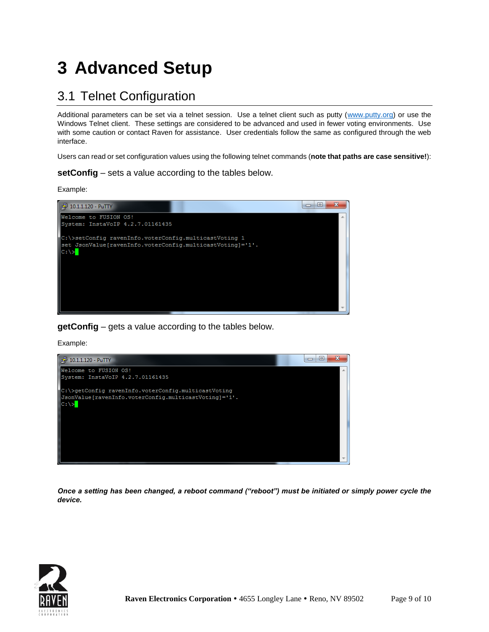## <span id="page-9-0"></span>**3 Advanced Setup**

### <span id="page-9-1"></span>3.1 Telnet Configuration

Additional parameters can be set via a telnet session. Use a telnet client such as putty [\(www.putty.org\)](http://www.putty.org/) or use the Windows Telnet client. These settings are considered to be advanced and used in fewer voting environments. Use with some caution or contact Raven for assistance. User credentials follow the same as configured through the web interface.

Users can read or set configuration values using the following telnet commands (**note that paths are case sensitive!**):

**setConfig** – sets a value according to the tables below.

Example:



**getConfig** – gets a value according to the tables below.

Example:



*Once a setting has been changed, a reboot command ("reboot") must be initiated or simply power cycle the device.*